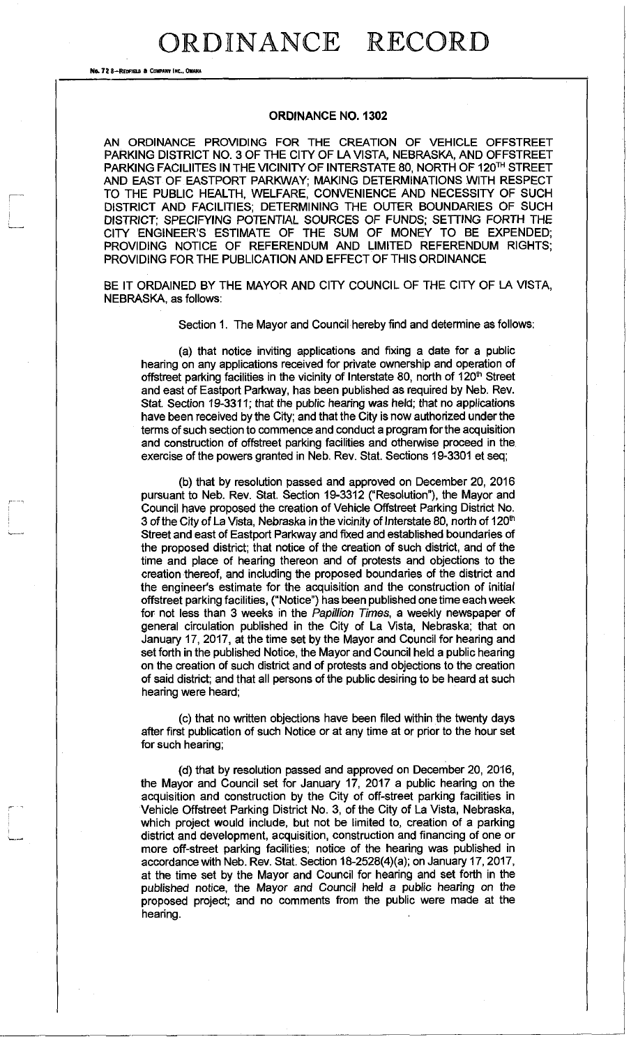ORDINANCE RECORD

No. 72 8-REDFIELD & COMPANY INC., OMARA

## **ORDINANCE NO. 1302**

AN ORDINANCE PROVIDING FOR THE CREATION OF VEHICLE OFFSTREET PARKING DISTRICT NO. 3 OF THE CITY OF LA VISTA, NEBRASKA, AND OFFSTREET PARKING FACILIITES IN THE VICINITY OF INTERSTATE 80, NORTH OF 120™ STREET AND EAST OF EASTPORT PARKWAY; MAKING DETERMINATIONS WITH RESPECT TO THE PUBLIC HEALTH, WELFARE, CONVENIENCE AND NECESSITY OF SUCH DISTRICT AND FACILITIES; DETERMINING THE OUTER BOUNDARIES OF SUCH DISTRICT; SPECIFYING POTENTIAL SOURCES OF FUNDS; SETTING FORTH THE CITY ENGINEER'S ESTIMATE OF THE SUM OF MONEY TO BE EXPENDED; PROVIDING NOTICE OF REFERENDUM AND LIMITED REFERENDUM RIGHTS; PROVIDING FOR THE PUBLICATION AND EFFECT OF THIS ORDINANCE

BE IT ORDAINED BY THE MAYOR AND CITY COUNCIL OF THE CITY OF LA VISTA, NEBRASKA, as follows:

Section 1. The Mayor and Council hereby find and determine as follows:

(a) that notice inviting applications and fixing a date for a public hearing on any applications received for private ownership and operation of offstreet parking facilities in the vicinity of Interstate 80, north of  $120<sup>th</sup>$  Street and east of Eastport Parkway, has been published as required by Neb. Rev. Stat. Section 19-3311; that the public hearing was held; that no applications have been received by the City; and that the City is now authorized under the terms of such section to commence and conduct a program for the acquisition and construction of offstreet parking facilities and otherwise proceed in the exercise of the powers granted in Neb. Rev. Stat. Sections 19-3301 et seq;

(b) that by resolution passed and approved on December 20, 2016 pursuant to Neb. Rev. Stat. Section 19-3312 ("Resolution"), the Mayor and Council have proposed the creation of Vehicle Offstreet Parking District No. 3 of the City of La Vista, Nebraska in the vicinity of Interstate 80, north of 120<sup>th</sup> Street and east of Eastport Parkway and fixed and established boundaries of the proposed district; that notice of the creation of such district, and of the time and place of hearing thereon and of protests and objections to the creation thereof, and including the proposed boundaries of the district and the engineer's estimate for the acquisition and the construction of initial offstreet parking facilities, ("Notice") has been published one time each week for not less than 3 weeks in the *Papillion Times*, a weekly newspaper of general circulation published in the City of La Vista, Nebraska; that on January 17, 2017, at the time set by the Mayor and Council for hearing and set forth in the published Notice, the Mayor and Council held a public hearing on the creation of such district and of protests and objections to the creation of said district; and that all persons of the public desiring to be heard at such hearing were heard;

(c) that no written objections have been filed within the twenty days after first publication of such Notice or at any time at or prior to the hour set for such hearing;

(d) that by resolution passed and approved on December 20, 2016, the Mayor and Council set for January 17, 2017 a public hearing on the acquisition and construction by the City of off-street parking facilities in Vehicle Offstreet Parking District No. 3, of the City of La Vista, Nebraska, which project would include, but not be limited to, creation of a parking district and development, acquisition, construction and financing of one or more off-street parking facilities; notice of the hearing was published in accordance with Neb. Rev. Stat. Section 18-2528(4)(a); on January 17, 2017, at the time set by the Mayor and Council for hearing and set forth in the published notice, the Mayor and Council held a public hearing on the proposed project; and no comments from the public were made at the hearing.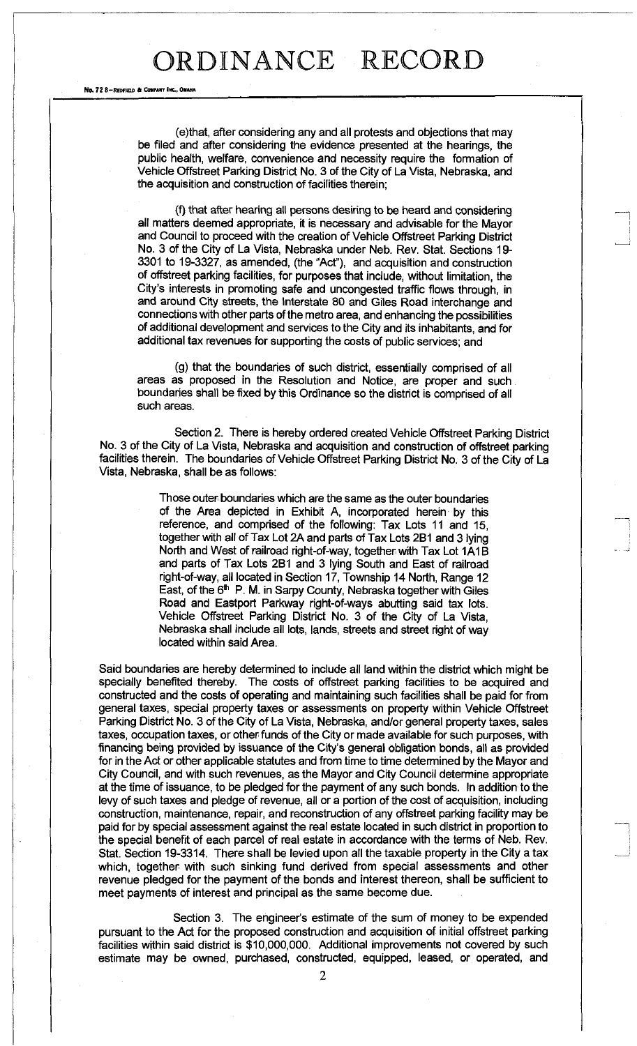## ORDINANCE RECORD

No. 72 8-REDFIELD & COMPANY INC., OMAHA

(e)that, after considering any and all protests and objections that may be filed and after considering the evidence presented at the hearings, the public health, welfare, convenience and necessity require the formation of Vehicle Offstreet Parking District No. 3 of the City of La Vista, Nebraska, and the acquisition and construction of facilities therein;

(f) that after hearing all persons desiring to be heard and considering all matters deemed appropriate, it is necessary and advisable for the Mayor and Council to proceed with the creation of Vehicle Offstreet Parking District No. 3 of the City of La Vista, Nebraska under Neb. Rev. Stat. Sections 19- 3301 to 19-3327, as amended, (the "Act"), and acquisition and construction of offstreet parking facilities, for purposes that include, without limitation, the City's interests in promoting safe and uncongested traffic flows through, in and around City streets, the Interstate 80 and Giles Road interchange and connections with other parts of the metro area, and enhancing the possibilities of additional development and services to the City and its inhabitants, and for additional tax revenues for supporting the costs of public services; and

(g) that the boundaries of such district, essentially comprised of all areas as proposed in the Resolution and Notice, are proper and such boundaries shall be fixed by this Ordinance so the district is comprised of all such areas.

Section 2. There is hereby ordered created Vehicle Offstreet Parking District No. 3 of the City of La Vista, Nebraska and acquisition and construction of offstreet parking facilities therein. The boundaries of Vehicle Offstreet Parking District No. 3 of the City of La Vista, Nebraska, shall be as follows:

> Those outer boundaries which are the same as the outer boundaries of the Area depicted in Exhibit A, incorporated herein by this reference, and comprised of the following: Tax Lots 11 and 15, together with all of Tax Lot 2A and parts of Tax Lots 2B1 and 3 lying North and West of railroad right-of-way, together with Tax Lot 1A1B and parts of Tax Lots 2B1 and 3 lying South and East of railroad right-of-way, all located in Section 17, Township 14 North, Range 12 East, of the 6<sup>th</sup> P. M. in Sarpy County, Nebraska together with Giles Road and Eastport Parkway right-of-ways abutting said tax lots. Vehicle Offstreet Parking District No. 3 of the City of La Vista, Nebraska shall include all lots, lands, streets and street right of way located within said Area.

Said boundaries are hereby determined to include all land within the district which might be specially benefited thereby. The costs of offstreet parking facilities to be acquired and constructed and the costs of operating and maintaining such facilities shall be paid for from general taxes, special property taxes or assessments on property within Vehicle Offstreet Parking District No. 3 of the City of La Vista, Nebraska, and/or general property taxes, sales taxes, occupation taxes, or other funds of the City or made available for such purposes, with financing being provided by issuance of the City's general obligation bonds, all as provided for in the Act or other applicable statutes and from time to time determined by the Mayor and City Council, and with such revenues, as the Mayor and City Council determine appropriate at the time of issuance, to be pledged for the payment of any such bonds. In addition to the levy of such taxes and pledge of revenue, all or a portion of the cost of acquisition, including construction, maintenance, repair, and reconstruction of any offstreet parking facility may be paid for by special assessment against the real estate located in such district in proportion to the special benefit of each parcel of real estate in accordance with the terms of Neb. Rev. Stat. Section 19-3314. There shall be levied upon all the taxable property in the City a tax which, together with such sinking fund derived from special assessments and other revenue pledged for the payment of the bonds and interest thereon, shall be sufficient to meet payments of interest and principal as the same become due.

Section 3. The engineer's estimate of the sum of money to be expended pursuant to the Act for the proposed construction and acquisition of initial offstreet parking facilities within said district is \$10,000,000. Additional improvements not covered by such estimate may be owned, purchased, constructed, equipped, leased, or operated, and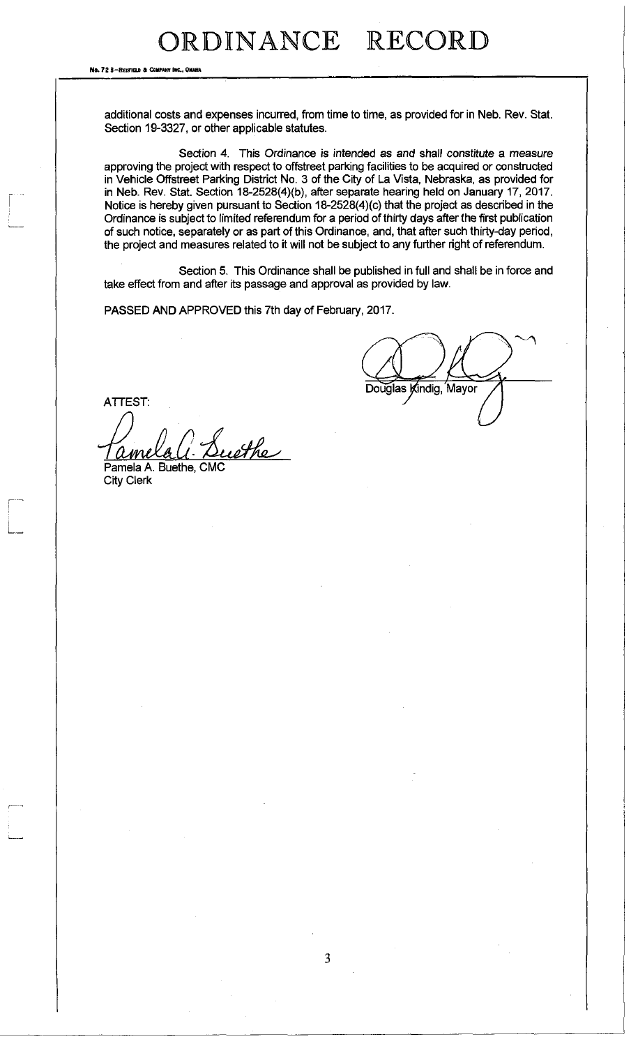No. 72 S-REDFIELD & COMM

additional costs and expenses incurred, from time to time, as provided for in Neb. Rev. Stat. Section 19-3327, or other applicable statutes.

Section 4. This Ordinance *is intended as and* shall constitute a measure approving the project with respect to offstreet parking facilities to be acquired or constructed in Vehicle Offstreet Parking District No. 3 of the City of La Vista, Nebraska, as provided for in Neb. Rev. Stat. Section 18-2528(4)(b), after separate hearing held on January 17, 2017. Notice is hereby given pursuant to Section 18-2528(4)(c) that the project as described in the Ordinance is subject to limited referendum for a period of thirty days after the first publication of such notice, separately or as part of this Ordinance, and, that after such thirty-day period, the project and measures related to it will not be subject to any further right of referendum.

Section 5. This Ordinance shall be published in full and shall be in force and take effect from and after its passage and approval as provided by law.

PASSED AND APPROVED this 7th day of February, 2017.

Douglas Kindig, Mayor

**ATTEST:** 

ethe  $\alpha$ m Pamela A. Buethe, CMC City Clerk